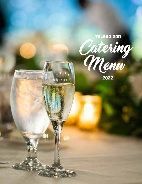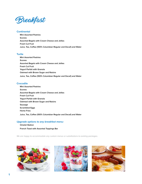

# **Continental**

 **Mini Assorted Pastries Scones Assorted Bagels with Cream Cheese and Jellies Fresh Cut Fruit Juice, Tea, Coffee (100% Columbian Regular and Decaf) and Water**

# **Turtle**

 **Mini Assorted Pastries Scones Assorted Bagels with Cream Cheese and Jellies Fresh Cut Fruit Yogurt Parfait with Granola Oatmeal with Brown Sugar and Raisins Juice, Tea, Coffee (100% Columbian Regular and Decaf) and Water**

# **Crocodile**

 **Mini Assorted Pastries Scones Assorted Bagels with Cream Cheese and Jellies Fresh Cut Fruit Yogurt Parfait with Granola Oatmeal with Brown Sugar and Raisins Sausage Scrambled Eggs Home Fries Juice, Tea, Coffee (100% Columbian Regular and Decaf) and Water**

# *Upgrade options to any breakfast menu:*

 **Omelet Station**

 **French Toast with Assorted Toppings Bar**





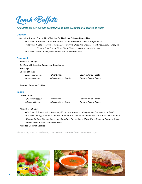

## *All buffets are served with assorted Coca-Cola products and carafes of water.*

## **Cheetah**

 **Served with warm Corn or Flour Tortillas, Tortilla Chips, Salsa and Sopapillas.**

- *Choice of 2: Seasoned Beef, Shredded Chicken, Pulled Pork or Faijta Pepper Blend*
- *Choice of 4: Lettuce, Diced Tomatoes, Diced Onion, Shredded Cheese, Fresh Salsa, Freshly Chopped Cilantro, Sour Cream, Sliced Black Olives or Sliced Jalapeno Peppers.*
- *Choice of 1: Pinto Beans, Black Beans, Refried Beans or Rice*

### **Gray Wolf**

 **Mixed Green Salad Deli Tray with Assorted Breads and Condiments Zoo Chips Choice of Soup:** • *Broccoli Cheddar* • *Beef Barley*

- *Chicken Noodle*
- • *Chicken Stracciatella*
- • *Loaded Baked Potato*
- • *Creamy Tomato Bisque*

### **Assorted Gourmet Cookies**

## **Impala**

#### **Choice of Soup:**

| • Broccoli Cheddar | • Beef Barley           | • Loaded Baked Potato  |
|--------------------|-------------------------|------------------------|
| • Chicken Noodle   | • Chicken Stracciatella | • Creamy Tomato Bisque |

# **Mixed Green Salad**

- *Choice of 2: Ranch, Italian, Raspberry Vinaigrette, Balsalmic Vinaigrette or Creamy Poppy Seed*
- *Choice of 10: Egg, Shredded Cheese, Croutons, Cucumbers, Tomatoes, Broccoli, Cauliflower, Shredded Carrots, Cottage Cheese, Diced Ham, Shredded Turkey, Sliced Black Olives, Bananna Peppers, Bacon, Red Onion or Roasted Sunflower Seeds*

#### **Assorted Gourmet Cookies**





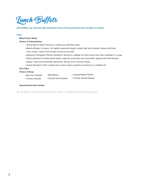

# *All buffets are served with assorted Coca-Cola products and carafes of water.*

# **Lion**

 **Mixed Green Salad**

 **Choice of 2 Sandwiches:**

- *Turkey Bacon Swiss:* Served on marble rye with Pesto Aioli
- *Beastro Burger:* A classic. Our lightly seasoned burger is piled high with cheddar cheese and fresh onion straws. Lettuce and tomato served on the side.
- *Signature Pineapple Chicken Sandwich:* Served on ciabatta roll with house slaw. *Also available in a wrap.*
- *Italian Sandwich:* Freshly sliced salami, capicola, proscuitto and mozzarella. Topped with fried banana pepper rings and housemade dijonniase. Served on 6" sub bun bread.

• *Cuban Sandwich:* Ham, roasted pork, swiss cheese, pickles & mustard on a ciabatta roll.

# **Zoo Chips**

 **Choice of Soup:**

- *Broccoli Cheddar* • *Beef Barley*
- • *Loaded Baked Potato*

- *Chicken Noodle*
- • *Chicken Stracciatella*
- • *Creamy Tomato Bisque*

### **Assorted Gourmet Cookies**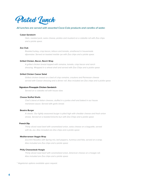

### *All lunches are served with assorted Coca-Cola products and carafes of water.*

#### **Cuban Sandwich**

*Ham, roasted pork, swiss cheese, pickles and mustard on a ciabatta roll with Zoo chips and a pickle spear.*

#### **Zoo Club**

*Roasted turkey, crisp bacon, lettuce and tomato, smothered in housemade dijonnaise. Served on toasted marble rye with Zoo chips and a pickle spear.*

### **Grilled Chicken, Bacon, Ranch Wrap**

*A grilled chicken breast topped with romaine, tomato, crisp bacon and ranch dressing. Wrapped in a wheat shell and served with Zoo Chips and a pickle spear.*

### **Grilled Chicken Caesar Salad**

*Grilled chicken breast on a bed of crisp romaine, croutons and Parmesan cheese served with Caesar dressing and a dinner roll. Also included are Zoo chips and a pickle spear.*

#### **Signature Pineapple Chicken Sandwich**

*Served on a ciabatta roll with house slaw.*

## **Cheese Stuffed Shells**

*Chef's blend of italian cheeses, stuffed in a jumbo shell and baked in our house marianara sauce. Served with garlic bread.*

#### **Beastro Burger**

*A classic. Our lightly seasoned burger is piled high with cheddar cheese and fresh onion straws. Served on a toasted brioche bun with Zoo Chips and a pickle spear.*

#### **French Dip**

*Thinly sliced roast beef with caramelized onion, swiss cheese on a baguette, served with Au Jus. Also included are Zoo chips and a pickle spear.*

### **Mediterranean Veggie Wrap**

*Zucchini Noodles with Spring mix, bell peppers, hummus and feta, served on a wrap. Also included are Zoo chips and a pickle spear.*

#### **Philly Cheesesteak Hoagie**

*Thinly sliced roast beef with caramelized onion, American cheese on a hoagie roll. Also included are Zoo chips and a pickle spear.*

*\* Vegetarian options available upon request.*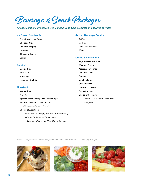Beverage & Snack Packages

*All snack stations are served with canned Coca-Cola products and carafes of water.*

# **Ice Cream Sundae Bar**

 **French Vanilla Ice Cream Chopped Nuts Whipped Topping Cherries Chocolate Sauce Sprinkles**

## **4-Hour Beverage Service**

 **Coffee Iced Tea Coca Cola Products Water**

# **Coffee & Sweets Bar**

- **Colobus**
	- **Veggie Tray Fruit Tray Zoo Chips Hummus with Pita**

## **Silverback**

 **Veggie Tray**

 **Fruit Tray Spinach Artichoke Dip with Tortilla Chips Whipped Feta and Cucumber Dip** *with toasted Ciabatta Bread*

## **Choice of Appetizer:**

- *Buffalo Chicken Egg Rolls with ranch dressing*
- *Prosciutto Wrapped Cantaloupe*
- *Cucumber Round with Herb Cream Cheese*
- **Regular & Decaf Coffee**
- **Whipped Cream**
- **Assorted Flavorings**
- **Chocolate Chips**
- **Caramels**
- **Marshmallows**
- **Cocoa dusting**
- **Cinnamon dusting**
- **Sea salt grinder**

## **Choice of (1) sweet:**

- *Scones / Snickerdoodle cookies*
- *Beignets*





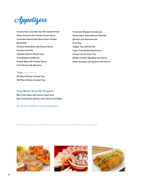

**Creamy feta cucumber dip with toasted bread Italian Arancini with Tomato Cream Sauce Cucumber Round with Herb Cream Cheese Bruschetta Chicken Satay Bites with Peanut Sauce Hummus and Pita Caprese Salad in Phyllo Cups Fried Buffalo Cauliflower Pretzel Bites with Cheese Sauce Fried Ravioli with Marinara**

**Prosciutto Wrapped Cantaloupe Honey Dijon Glazed Brussel Sprouts Spinach and Artichoke Dip Fruit Tray Veggie Tray with Dill Dip Cajun Crab Stuffed Mushrooms Cheese and Cracker Tray Buffalo Chicken Egg Rolls with Ranch Italian Sausage with peppers and onions**

# **Trays** *priced per tray*

**50 Piece Shrimp Cocktail Tray 100 Piece Shrimp Cocktail Tray**

# **Trays Below Serve 50-75 guests**

**Mini Crab Cakes with Lemon Caper Aioli Beef and Shrimp Skewers with Garlic Herb Butter**

# *25 person minimum on all appetizers.*





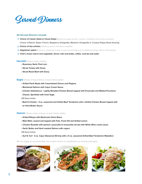Served Dinners

# *All Served Dinners include*

- **Choice of Caesar Salad or House Salad** *(Spring mix grape tomato, croutons, shredded carrots and cucumbers)* Choice of Ranch, Italian, French, Raspberry Vinaigrette, Balsamic Vinaigrette or Creamy Poppy Seed dressing
- **Choice of two entrées** *(additional entrée selections available)*
- **Vegetarian option** *(Choose a vegetarian entrée as your second option at no additional charge OR as a third option)*
- **Chef's choice starch and vegetable, dinner rolls and butter, coffee, iced tea and water**

## **Hornbill** *Choice of two entrées*

- **Rosemary Garlic Pork Loin**
- **Sliced Turkey with Gravy**
- **Sliced Roast Beef with Gravy**

#### **Eagle** *Choice of two entrées or dual entree option*

- **Grilled Flank Steak with Caramelized Onions and Peppers**
- **Blackened Salmon with Cajun Cream Sauce**
- **Chicken Saltimbocca Lightly Breaded Chicken Breast topped with Prosciutto and Melted Provolone Cheese. Sprinkled with fresh Sage.**

## *OR Dual entrée*

• **Beef & Chicken - 4 oz. seasoned and Grilled Beef Tenderloin with a Grilled Chicken Breast topped with an Herb Butter Sauce.**

### **Ostrich** *Choice of two entrees or dual entree option*

- **Grilled Ribeye with Mushroom Demi-Glace**
- **Mahi Mahi, seared and topped with Feta, Fresh Dill and Grilled Lemon**
- **Chicken Roulade with spinach, prosciutto & mozzarella served with White Wine cream sauce**
- **Garlic Butter and Herb roasted Salmon with capers**

*OR Dual entrée*

• **Surf & Turf - 3 oz. Cajun Skewered Shrimp with a 4 oz. seasoned Grilled Beef Tenderloin Medallion**





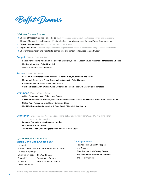

### *All Buffet Dinners include:*

- **Choice of Caesar Salad or House Salad** *(Spring mix grape tomato, croutons, shredded carrots and cucumbers)* Choice of Ranch, Italian, Raspberry Vinaigrette, Balsamic Vinaigrette or Creamy Poppy Seed dressing
- **Choice of two entrées** *(additional entrée selections available)*
- **Vegetarian option** *(Choose a vegetarian entrée as your second option at no additional charge OR as a third option)*
- **Chef's Choice starch and vegetable, dinner rolls and butter, coffee, iced tea and water**

### **Penguin** *Choice of two entrées*

- **Baked Penne Pasta with Shrimp, Pancetta, Scallions, Lobster Cream Sauce with melted Mozzarella Cheese**
- **Maple and Mustard Grilled Pork Loin**
- **Grilled marinated chicken breast**

#### **Parrot** *Choice of two entrées*

- **Seared Chicken Marsala with a Butter Marsala Sauce, Mushrooms and Herbs**
- **Marinated, Seared and Sliced Teres Major Steak with Grilled Lemon**
- **Blackened Salmon with Cajun Cream Sauce**
- **Chicken Piccatta with a White Wine, Butter and Lemon Sauce with Capers and Tomatoes**

#### **Orangutan** *Choice of two entrées*

- **Grilled Flank Steak with Chimichurri Sauce**
- **Chicken Roulade with Spinach, Prosciutto and Mozzarella served with Herbed White Wine Cream Sauce**
- **Grilled Pork Tenderloin with Honey Balsamic Glaze**
- **Mahi Mahi seared and topped with Feta, Fresh Dill and Grilled Lemon**

#### **Vegetarian** *Choose one of these as your second option at no additional charge OR as a third option*

#### *at an additional price.*

- **Eggplant Parmigiana with Zucchini Noodles**
- **Roasted Mushroom Risotto**
- **Penne Pasta with Grilled Vegetables and Pesto Cream Sauce**

# *Upgrade options for buffets:* **Waffle Cone Mac & Cheese Bar**

• Included: *Smoked Cheddar Mac & Cheese and Waffle Cones* • Choose 3 Toppings:

| Steamed Broccoli | Chicken Chunks        |
|------------------|-----------------------|
| Bacon Bits       | Sautéed Mushrooms     |
| <b>Scallions</b> | Seasoned Bread Crumbs |
| Diced Tomatoes   |                       |

#### **Carving Stations**

 **Roasted Pork Loin with Peppers and Onions Slow Roasted Herb Turkey Breast Top Round with Sauteed Mushrooms and Horsey Sauce**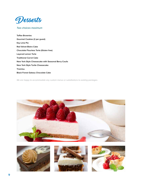

# *Two choices maximum*

**Toffee Brownies Gourmet Cookies (2 per guest) Key Lime Pie Red Velvet Bistro Cake Chocolate Flourless Torte (Gluten free) Layered Lemon Torte Traditional Carrot Cake New York Style Cheesecake with Seasonal Berry Coulis New York Style Turtle Cheesecake Tiramisu Black Forest Gateau Chocolate Cake**







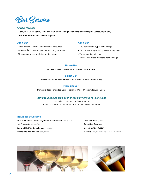

# *All Bars include:*

• **Coke, Diet Coke, Sprite, Tonic and Club Soda, Orange, Cranberry and Pineapple Juices, Triple Sec, Bar Fruit, Stirrers and Cocktail napkins**

## **Open Bar**

- Open bar service is based on amount consumed
- Minimum \$150 per hour, per bar, including bartender
- All open bar prices are listed per beverage

# **Cash Bar**

- \$50 per-bartender, per-hour charge
- Two bartenders per 100 guests are required
- Three-hour bar minimum
- All cash bar prices are listed per beverage

# **House Bar**

**Domestic Beer** • **House Wine** • **House Liquor** • **Soda**

# **Select Bar**

**Domestic Beer** • **Imported Beer** • **Select Wine** • **Select Liquor** • **Soda**

# **Premium Bar**

**Domestic Beer** • **Imported Beer** • **Premium Wine** • **Premium Liquor** • **Soda**

# *Ask about adding craft beer or specialty drinks to your event!*

• Cash bar prices include Ohio state tax • Specific liquors can be added for an additional cost per bottle

# **Individual Beverages**

**100% Colombian Coffee, regular or decaffeinated** *per gallon* **Hot Chocolate** *per gallon* **Gourmet Hot Tea Selections** *per packet* **Freshly brewed Iced Tea** *per gallon*

**Lemonade** *per gallon* **Coca-Cola Products Dasani Bottled Water Juices** (*Orange, Pineapple and Cranberry)* 



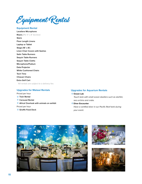Equipment Rental

# **Equipment Rental**

**Lavaliere Microphone Risers** *(Per 4' x 8' Section)* **Stairs Floor Length Linens Laptop or Tablet Stage (16' x 8') Linen Chair Covers with Sashes Satin Table Runners Sequin Table Runners Sequin Table Cloths Microphone/Podium Data Projector White Cushioned Chairs Tech Time Chiavari Chairs Extra Golf Cart**  *\*All rentals are subject to a delivery fee.*

# **Upgrades for Malawi Rentals**

# Priced per hour

- **Train Rental**
- **Carousel Rental**
- **Africa! Overlook with animals on exhibit**
- Priced per hour
- **Giraffe Feed Deck**

## **Upgrades for Aquarium Rentals**

### **Ocean Lab**

 *Touch tank with small ocean dwellers such as starfish, sea urchins and crabs.*

# **Diver Encounter**

 *Have a certified diver in our Pacific Reef tank during your event.*





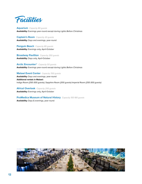

**Aquarium** *Capacity 80 guests* **Availability:** Evenings year-round except during *Lights Before Christmas*

**Captain's Room** *Capacity 20 guests* **Availability:** Days and evenings, year-round

**Penguin Beach** *Capacity 80 guests* **Availability:** Evenings only, April-October

**Broadway Pavillion** *Capacity 250 guests* **Availability:** Days only, April-October

**Arctic Encounter**® *Capacity 50 guests* **Availability:** Evenings year-round except during *Lights Before Christmas*

**Malawi Event Center** *Capacity 700 guests* **Availability:** Days and evenings, year-round **Additional rentals in Malawi:** Indigo Room *(250-300 guests)*, Sapphire Room *(200 guests)* Imperial Room *(250-300 guests)*

**Africa! Overlook** *Capacity 250 guests* **Availability:** Evenings only, April-October

**ProMedica Museum of Natural History** *Capacity 150-180 guests* **Availability:** Days & evenings, year-round

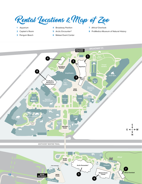Rental Locations & Map of Zoo

- **1** Aquarium
- **2** Captain's Room
- **3** Penguin Beach
- **4** Broadway Pavilion
- **5** Arctic Encounter®
- **6** Malawi Event Center
- **7** *Africa!* Overlook
- **8** ProMedica Museum of Natural History